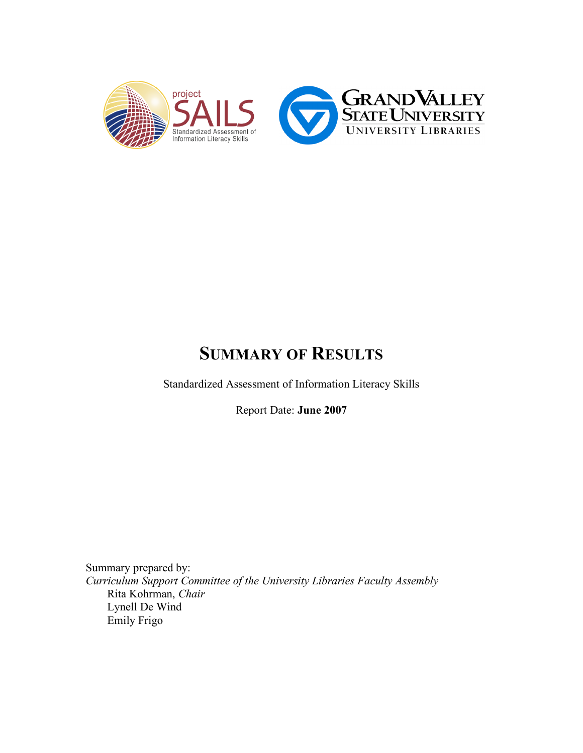

## **SUMMARY OF RESULTS**

Standardized Assessment of Information Literacy Skills

Report Date: **June 2007**

Summary prepared by: *Curriculum Support Committee of the University Libraries Faculty Assembly* Rita Kohrman, *Chair* Lynell De Wind Emily Frigo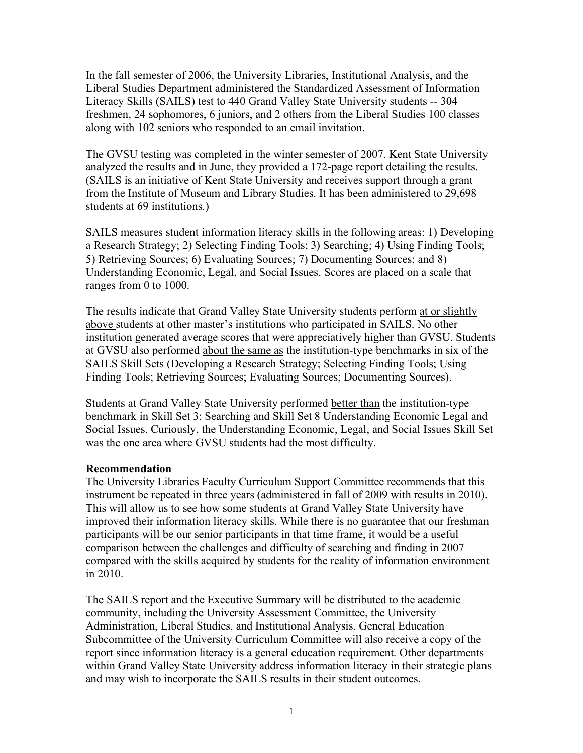In the fall semester of 2006, the University Libraries, Institutional Analysis, and the Liberal Studies Department administered the Standardized Assessment of Information Literacy Skills (SAILS) test to 440 Grand Valley State University students -- 304 freshmen, 24 sophomores, 6 juniors, and 2 others from the Liberal Studies 100 classes along with 102 seniors who responded to an email invitation.

The GVSU testing was completed in the winter semester of 2007. Kent State University analyzed the results and in June, they provided a 172-page report detailing the results. (SAILS is an initiative of Kent State University and receives support through a grant from the Institute of Museum and Library Studies. It has been administered to 29,698 students at 69 institutions.)

SAILS measures student information literacy skills in the following areas: 1) Developing a Research Strategy; 2) Selecting Finding Tools; 3) Searching; 4) Using Finding Tools; 5) Retrieving Sources; 6) Evaluating Sources; 7) Documenting Sources; and 8) Understanding Economic, Legal, and Social Issues. Scores are placed on a scale that ranges from 0 to 1000.

The results indicate that Grand Valley State University students perform at or slightly above students at other master's institutions who participated in SAILS. No other institution generated average scores that were appreciatively higher than GVSU. Students at GVSU also performed about the same as the institution-type benchmarks in six of the SAILS Skill Sets (Developing a Research Strategy; Selecting Finding Tools; Using Finding Tools; Retrieving Sources; Evaluating Sources; Documenting Sources).

Students at Grand Valley State University performed better than the institution-type benchmark in Skill Set 3: Searching and Skill Set 8 Understanding Economic Legal and Social Issues. Curiously, the Understanding Economic, Legal, and Social Issues Skill Set was the one area where GVSU students had the most difficulty.

## **Recommendation**

The University Libraries Faculty Curriculum Support Committee recommends that this instrument be repeated in three years (administered in fall of 2009 with results in 2010). This will allow us to see how some students at Grand Valley State University have improved their information literacy skills. While there is no guarantee that our freshman participants will be our senior participants in that time frame, it would be a useful comparison between the challenges and difficulty of searching and finding in 2007 compared with the skills acquired by students for the reality of information environment in 2010.

The SAILS report and the Executive Summary will be distributed to the academic community, including the University Assessment Committee, the University Administration, Liberal Studies, and Institutional Analysis. General Education Subcommittee of the University Curriculum Committee will also receive a copy of the report since information literacy is a general education requirement. Other departments within Grand Valley State University address information literacy in their strategic plans and may wish to incorporate the SAILS results in their student outcomes.